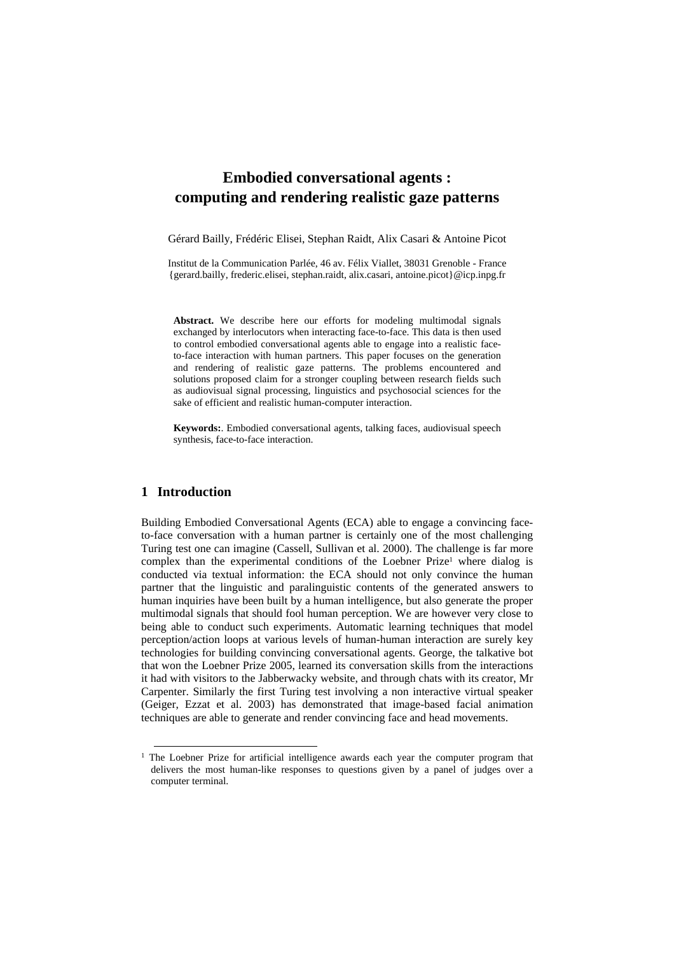# **Embodied conversational agents : computing and rendering realistic gaze patterns**

Gérard Bailly, Frédéric Elisei, Stephan Raidt, Alix Casari & Antoine Picot

Institut de la Communication Parlée, 46 av. Félix Viallet, 38031 Grenoble - France {gerard.bailly, frederic.elisei, stephan.raidt, alix.casari, antoine.picot}@icp.inpg.fr

**Abstract.** We describe here our efforts for modeling multimodal signals exchanged by interlocutors when interacting face-to-face. This data is then used to control embodied conversational agents able to engage into a realistic faceto-face interaction with human partners. This paper focuses on the generation and rendering of realistic gaze patterns. The problems encountered and solutions proposed claim for a stronger coupling between research fields such as audiovisual signal processing, linguistics and psychosocial sciences for the sake of efficient and realistic human-computer interaction.

**Keywords:**. Embodied conversational agents, talking faces, audiovisual speech synthesis, face-to-face interaction.

#### **1 Introduction**

Building Embodied Conversational Agents (ECA) able to engage a convincing faceto-face conversation with a human partner is certainly one of the most challenging Turing test one can imagine (Cassell, Sullivan et al. 2000). The challenge is far more complex than the experimental conditions of the Loebner Prize<sup>1</sup> where dialog is conducted via textual information: the ECA should not only convince the human partner that the linguistic and paralinguistic contents of the generated answers to human inquiries have been built by a human intelligence, but also generate the proper multimodal signals that should fool human perception. We are however very close to being able to conduct such experiments. Automatic learning techniques that model perception/action loops at various levels of human-human interaction are surely key technologies for building convincing conversational agents. George, the talkative bot that won the Loebner Prize 2005, learned its conversation skills from the interactions it had with visitors to the Jabberwacky website, and through chats with its creator, Mr Carpenter. Similarly the first Turing test involving a non interactive virtual speaker (Geiger, Ezzat et al. 2003) has demonstrated that image-based facial animation techniques are able to generate and render convincing face and head movements.

<sup>&</sup>lt;sup>1</sup> The Loebner Prize for artificial intelligence awards each year the computer program that delivers the most human-like responses to questions given by a panel of judges over a computer terminal.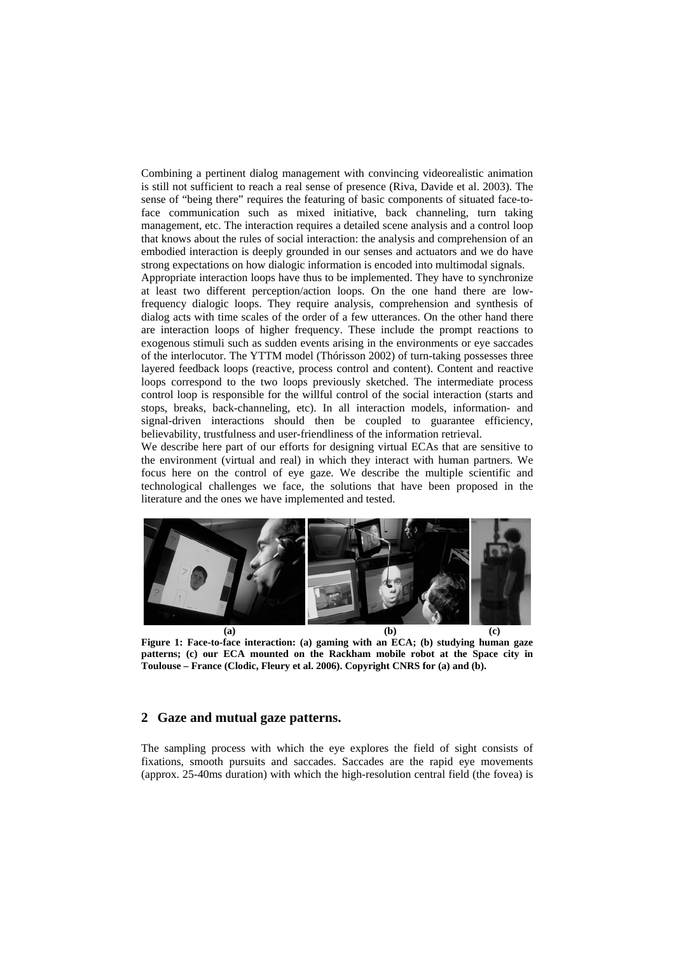Combining a pertinent dialog management with convincing videorealistic animation is still not sufficient to reach a real sense of presence (Riva, Davide et al. 2003). The sense of "being there" requires the featuring of basic components of situated face-toface communication such as mixed initiative, back channeling, turn taking management, etc. The interaction requires a detailed scene analysis and a control loop that knows about the rules of social interaction: the analysis and comprehension of an embodied interaction is deeply grounded in our senses and actuators and we do have strong expectations on how dialogic information is encoded into multimodal signals.

Appropriate interaction loops have thus to be implemented. They have to synchronize at least two different perception/action loops. On the one hand there are lowfrequency dialogic loops. They require analysis, comprehension and synthesis of dialog acts with time scales of the order of a few utterances. On the other hand there are interaction loops of higher frequency. These include the prompt reactions to exogenous stimuli such as sudden events arising in the environments or eye saccades of the interlocutor. The YTTM model (Thórisson 2002) of turn-taking possesses three layered feedback loops (reactive, process control and content). Content and reactive loops correspond to the two loops previously sketched. The intermediate process control loop is responsible for the willful control of the social interaction (starts and stops, breaks, back-channeling, etc). In all interaction models, information- and signal-driven interactions should then be coupled to guarantee efficiency, believability, trustfulness and user-friendliness of the information retrieval.

We describe here part of our efforts for designing virtual ECAs that are sensitive to the environment (virtual and real) in which they interact with human partners. We focus here on the control of eye gaze. We describe the multiple scientific and technological challenges we face, the solutions that have been proposed in the literature and the ones we have implemented and tested.



**Figure 1: Face-to-face interaction: (a) gaming with an ECA; (b) studying human gaze patterns; (c) our ECA mounted on the Rackham mobile robot at the Space city in Toulouse – France (Clodic, Fleury et al. 2006). Copyright CNRS for (a) and (b).** 

#### **2 Gaze and mutual gaze patterns.**

The sampling process with which the eye explores the field of sight consists of fixations, smooth pursuits and saccades. Saccades are the rapid eye movements (approx. 25-40ms duration) with which the high-resolution central field (the fovea) is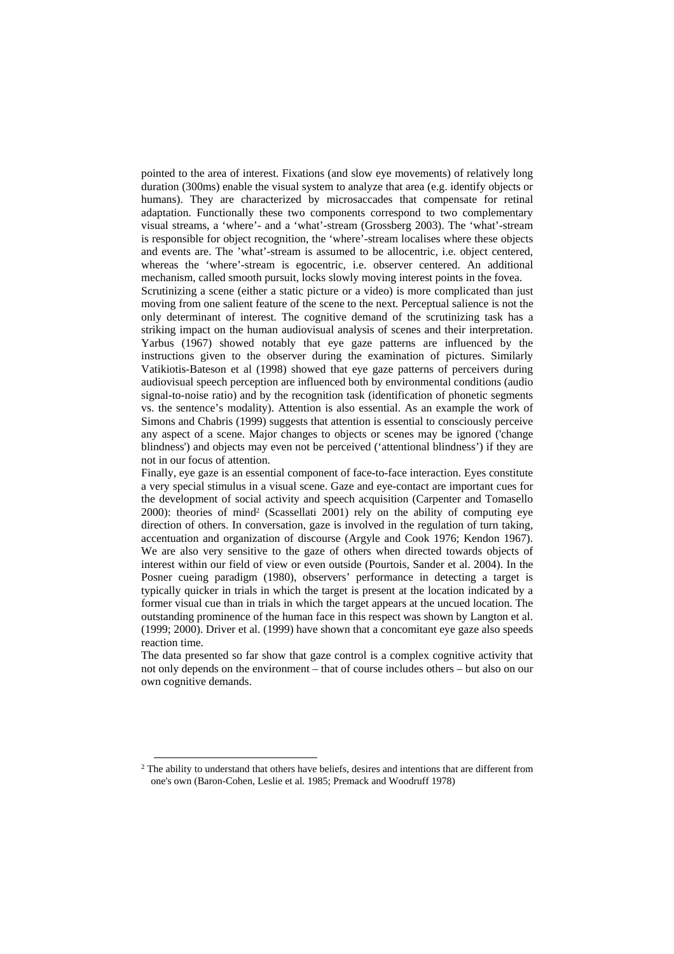pointed to the area of interest. Fixations (and slow eye movements) of relatively long duration (300ms) enable the visual system to analyze that area (e.g. identify objects or humans). They are characterized by microsaccades that compensate for retinal adaptation. Functionally these two components correspond to two complementary visual streams, a 'where'- and a 'what'-stream (Grossberg 2003). The 'what'-stream is responsible for object recognition, the 'where'-stream localises where these objects and events are. The 'what'-stream is assumed to be allocentric, i.e. object centered, whereas the 'where'-stream is egocentric, i.e. observer centered. An additional mechanism, called smooth pursuit, locks slowly moving interest points in the fovea.

Scrutinizing a scene (either a static picture or a video) is more complicated than just moving from one salient feature of the scene to the next. Perceptual salience is not the only determinant of interest. The cognitive demand of the scrutinizing task has a striking impact on the human audiovisual analysis of scenes and their interpretation. Yarbus (1967) showed notably that eye gaze patterns are influenced by the instructions given to the observer during the examination of pictures. Similarly Vatikiotis-Bateson et al (1998) showed that eye gaze patterns of perceivers during audiovisual speech perception are influenced both by environmental conditions (audio signal-to-noise ratio) and by the recognition task (identification of phonetic segments vs. the sentence's modality). Attention is also essential. As an example the work of Simons and Chabris (1999) suggests that attention is essential to consciously perceive any aspect of a scene. Major changes to objects or scenes may be ignored ('change blindness') and objects may even not be perceived ('attentional blindness') if they are not in our focus of attention.

Finally, eye gaze is an essential component of face-to-face interaction. Eyes constitute a very special stimulus in a visual scene. Gaze and eye-contact are important cues for the development of social activity and speech acquisition (Carpenter and Tomasello 2000): theories of mind2 (Scassellati 2001) rely on the ability of computing eye direction of others. In conversation, gaze is involved in the regulation of turn taking, accentuation and organization of discourse (Argyle and Cook 1976; Kendon 1967). We are also very sensitive to the gaze of others when directed towards objects of interest within our field of view or even outside (Pourtois, Sander et al. 2004). In the Posner cueing paradigm (1980), observers' performance in detecting a target is typically quicker in trials in which the target is present at the location indicated by a former visual cue than in trials in which the target appears at the uncued location. The outstanding prominence of the human face in this respect was shown by Langton et al. (1999; 2000). Driver et al. (1999) have shown that a concomitant eye gaze also speeds reaction time.

The data presented so far show that gaze control is a complex cognitive activity that not only depends on the environment – that of course includes others – but also on our own cognitive demands.

<sup>&</sup>lt;sup>2</sup> The ability to understand that others have beliefs, desires and intentions that are different from one's own (Baron-Cohen, Leslie et al. 1985; Premack and Woodruff 1978)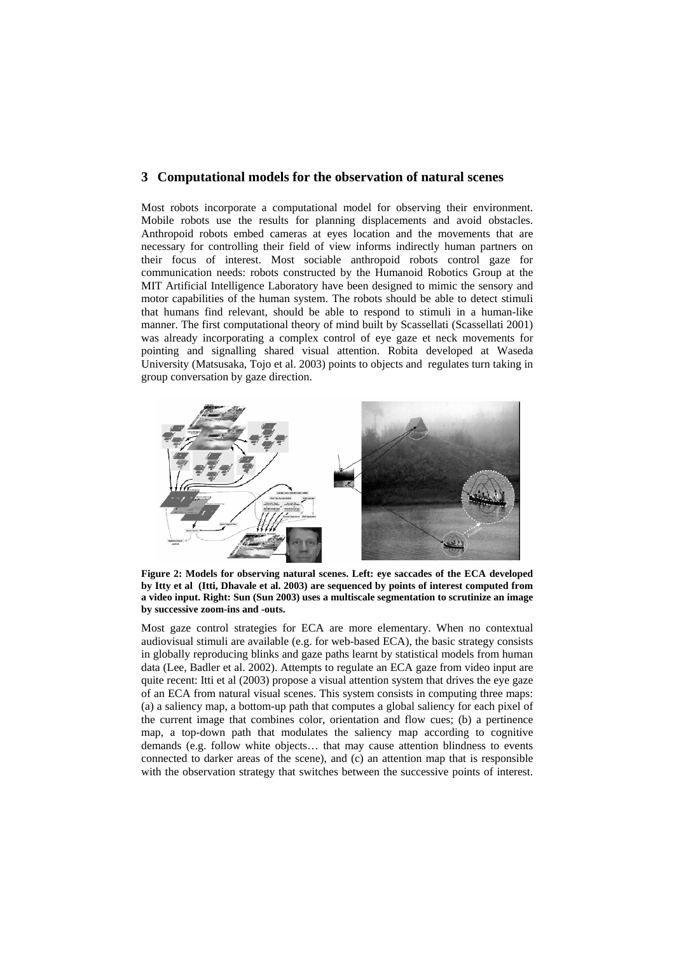#### **3 Computational models for the observation of natural scenes**

Most robots incorporate a computational model for observing their environment. Mobile robots use the results for planning displacements and avoid obstacles. Anthropoid robots embed cameras at eyes location and the movements that are necessary for controlling their field of view informs indirectly human partners on their focus of interest. Most sociable anthropoid robots control gaze for communication needs: robots constructed by the Humanoid Robotics Group at the MIT Artificial Intelligence Laboratory have been designed to mimic the sensory and motor capabilities of the human system. The robots should be able to detect stimuli that humans find relevant, should be able to respond to stimuli in a human-like manner. The first computational theory of mind built by Scassellati (Scassellati 2001) was already incorporating a complex control of eye gaze et neck movements for pointing and signalling shared visual attention. Robita developed at Waseda University (Matsusaka, Tojo et al. 2003) points to objects and regulates turn taking in group conversation by gaze direction.



**Figure 2: Models for observing natural scenes. Left: eye saccades of the ECA developed by Itty et al (Itti, Dhavale et al. 2003) are sequenced by points of interest computed from a video input. Right: Sun (Sun 2003) uses a multiscale segmentation to scrutinize an image by successive zoom-ins and -outs.** 

Most gaze control strategies for ECA are more elementary. When no contextual audiovisual stimuli are available (e.g. for web-based ECA), the basic strategy consists in globally reproducing blinks and gaze paths learnt by statistical models from human data (Lee, Badler et al. 2002). Attempts to regulate an ECA gaze from video input are quite recent: Itti et al  $(2003)$  propose a visual attention system that drives the eye gaze of an ECA from natural visual scenes. This system consists in computing three maps: (a) a saliency map, a bottom-up path that computes a global saliency for each pixel of the current image that combines color, orientation and flow cues; (b) a pertinence map, a top-down path that modulates the saliency map according to cognitive demands (e.g. follow white objects… that may cause attention blindness to events connected to darker areas of the scene), and (c) an attention map that is responsible with the observation strategy that switches between the successive points of interest.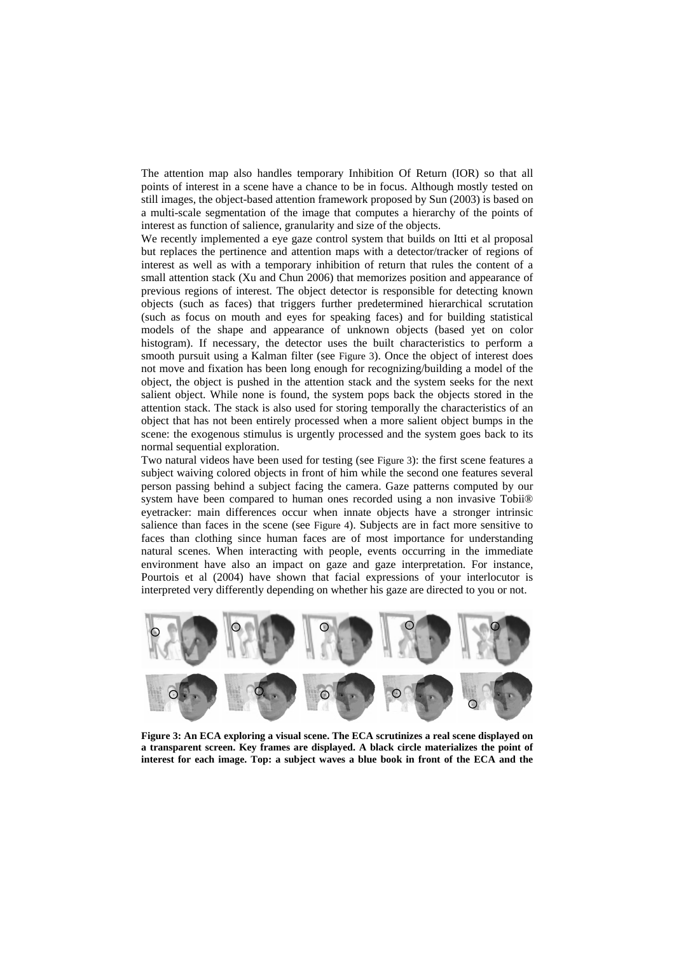The attention map also handles temporary Inhibition Of Return (IOR) so that all points of interest in a scene have a chance to be in focus. Although mostly tested on still images, the object-based attention framework proposed by Sun (2003) is based on a multi-scale segmentation of the image that computes a hierarchy of the points of interest as function of salience, granularity and size of the objects.

We recently implemented a eye gaze control system that builds on Itti et al proposal but replaces the pertinence and attention maps with a detector/tracker of regions of interest as well as with a temporary inhibition of return that rules the content of a small attention stack (Xu and Chun 2006) that memorizes position and appearance of previous regions of interest. The object detector is responsible for detecting known objects (such as faces) that triggers further predetermined hierarchical scrutation (such as focus on mouth and eyes for speaking faces) and for building statistical models of the shape and appearance of unknown objects (based yet on color histogram). If necessary, the detector uses the built characteristics to perform a smooth pursuit using a Kalman filter (see Figure 3). Once the object of interest does not move and fixation has been long enough for recognizing/building a model of the object, the object is pushed in the attention stack and the system seeks for the next salient object. While none is found, the system pops back the objects stored in the attention stack. The stack is also used for storing temporally the characteristics of an object that has not been entirely processed when a more salient object bumps in the scene: the exogenous stimulus is urgently processed and the system goes back to its normal sequential exploration.

Two natural videos have been used for testing (see Figure 3): the first scene features a subject waiving colored objects in front of him while the second one features several person passing behind a subject facing the camera. Gaze patterns computed by our system have been compared to human ones recorded using a non invasive Tobii® eyetracker: main differences occur when innate objects have a stronger intrinsic salience than faces in the scene (see Figure 4). Subjects are in fact more sensitive to faces than clothing since human faces are of most importance for understanding natural scenes. When interacting with people, events occurring in the immediate environment have also an impact on gaze and gaze interpretation. For instance, Pourtois et al (2004) have shown that facial expressions of your interlocutor is interpreted very differently depending on whether his gaze are directed to you or not.



**Figure 3: An ECA exploring a visual scene. The ECA scrutinizes a real scene displayed on a transparent screen. Key frames are displayed. A black circle materializes the point of interest for each image. Top: a subject waves a blue book in front of the ECA and the**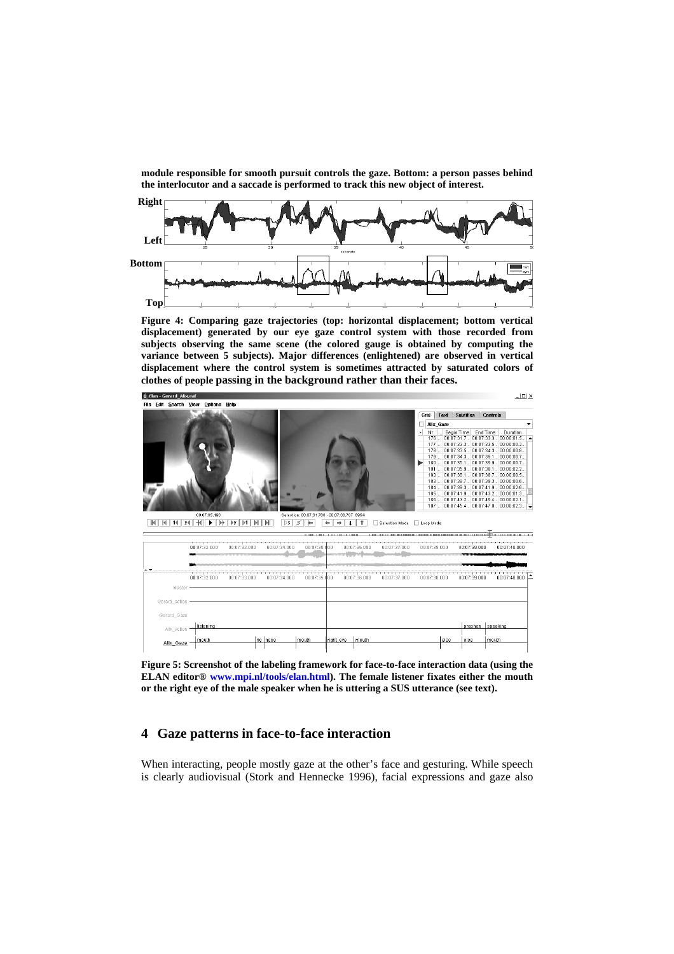**module responsible for smooth pursuit controls the gaze. Bottom: a person passes behind the interlocutor and a saccade is performed to track this new object of interest.** 



**Figure 4: Comparing gaze trajectories (top: horizontal displacement; bottom vertical displacement) generated by our eye gaze control system with those recorded from subjects observing the same scene (the colored gauge is obtained by computing the variance between 5 subjects). Major differences (enlightened) are observed in vertical displacement where the control system is sometimes attracted by saturated colors of clothes of people passing in the background rather than their faces.** 



|               | $\overline{\phantom{0}}$<br>00:07:32.000 | 00:07:33.000 | 00:07:34.000 | 00:07:35.000 |           | 00:07:36.000 | 00:07:37.000 | 00:07:38.000 |      | 00:07:39.000    | .<br>00:07:40.000 |  |
|---------------|------------------------------------------|--------------|--------------|--------------|-----------|--------------|--------------|--------------|------|-----------------|-------------------|--|
| ▵             | <b>The Sea</b>                           |              |              |              |           |              |              |              |      | <b>Thomas A</b> |                   |  |
|               | 1111<br>00:07:32.000                     | 00:07:33.000 | 00:07:34.000 | 00:07:35.000 |           | 00:07:36.000 | 00:07:37.000 | 00:07:38.000 |      | 00:07:39.000    | 00:07:40.000      |  |
| Master        |                                          |              |              |              |           |              |              |              |      |                 |                   |  |
| Gerard action |                                          |              |              |              |           |              |              |              |      |                 |                   |  |
| Gerard Gaze   |                                          |              |              |              |           |              |              |              |      |                 |                   |  |
| Alix_action = | listening                                |              |              |              |           |              |              |              |      | prephon         | speaking          |  |
| Alix_Gaze     | mouth                                    |              | l ria I nose | mouth        | right_eye | mouth        |              |              | else | leise           | mouth             |  |

**Figure 5: Screenshot of the labeling framework for face-to-face interaction data (using the ELAN editor® www.mpi.nl/tools/elan.html). The female listener fixates either the mouth or the right eye of the male speaker when he is uttering a SUS utterance (see text).**

#### **4 Gaze patterns in face-to-face interaction**

When interacting, people mostly gaze at the other's face and gesturing. While speech is clearly audiovisual (Stork and Hennecke 1996), facial expressions and gaze also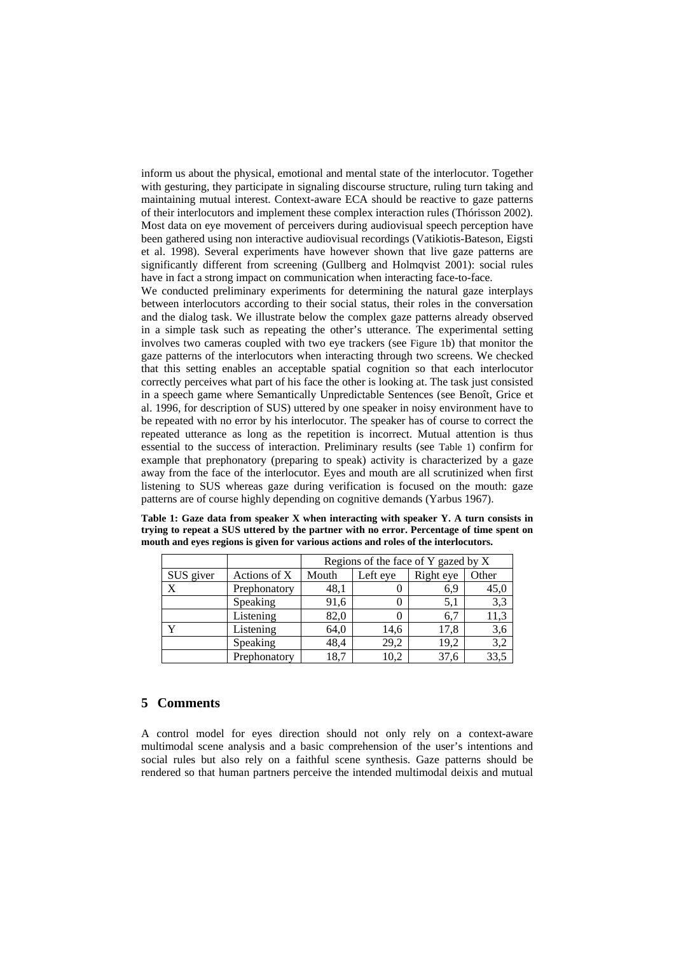inform us about the physical, emotional and mental state of the interlocutor. Together with gesturing, they participate in signaling discourse structure, ruling turn taking and maintaining mutual interest. Context-aware ECA should be reactive to gaze patterns of their interlocutors and implement these complex interaction rules (Thórisson 2002). Most data on eye movement of perceivers during audiovisual speech perception have been gathered using non interactive audiovisual recordings (Vatikiotis-Bateson, Eigsti et al. 1998). Several experiments have however shown that live gaze patterns are significantly different from screening (Gullberg and Holmqvist 2001): social rules have in fact a strong impact on communication when interacting face-to-face.

We conducted preliminary experiments for determining the natural gaze interplays between interlocutors according to their social status, their roles in the conversation and the dialog task. We illustrate below the complex gaze patterns already observed in a simple task such as repeating the other's utterance. The experimental setting involves two cameras coupled with two eye trackers (see Figure 1b) that monitor the gaze patterns of the interlocutors when interacting through two screens. We checked that this setting enables an acceptable spatial cognition so that each interlocutor correctly perceives what part of his face the other is looking at. The task just consisted in a speech game where Semantically Unpredictable Sentences (see Benoît, Grice et al. 1996, for description of SUS) uttered by one speaker in noisy environment have to be repeated with no error by his interlocutor. The speaker has of course to correct the repeated utterance as long as the repetition is incorrect. Mutual attention is thus essential to the success of interaction. Preliminary results (see Table 1) confirm for example that prephonatory (preparing to speak) activity is characterized by a gaze away from the face of the interlocutor. Eyes and mouth are all scrutinized when first listening to SUS whereas gaze during verification is focused on the mouth: gaze patterns are of course highly depending on cognitive demands (Yarbus 1967).

|           |              | Regions of the face of Y gazed by X |          |           |       |  |  |  |  |
|-----------|--------------|-------------------------------------|----------|-----------|-------|--|--|--|--|
| SUS giver | Actions of X | Mouth                               | Left eye | Right eye | Other |  |  |  |  |
| X         | Prephonatory | 48,1                                | U        | 6.9       | 45,0  |  |  |  |  |
|           | Speaking     | 91,6                                |          | 5,1       | 3,3   |  |  |  |  |
|           | Listening    | 82,0                                |          | 6,7       | 11,3  |  |  |  |  |
|           | Listening    | 64,0                                | 14,6     | 17,8      | 3,6   |  |  |  |  |
|           | Speaking     | 48,4                                | 29,2     | 19,2      | 3,2   |  |  |  |  |
|           | Prephonatory | 18.7                                | 10,2     | 37,6      | 33,5  |  |  |  |  |

**Table 1: Gaze data from speaker X when interacting with speaker Y. A turn consists in trying to repeat a SUS uttered by the partner with no error. Percentage of time spent on mouth and eyes regions is given for various actions and roles of the interlocutors.** 

## **5 Comments**

A control model for eyes direction should not only rely on a context-aware multimodal scene analysis and a basic comprehension of the user's intentions and social rules but also rely on a faithful scene synthesis. Gaze patterns should be rendered so that human partners perceive the intended multimodal deixis and mutual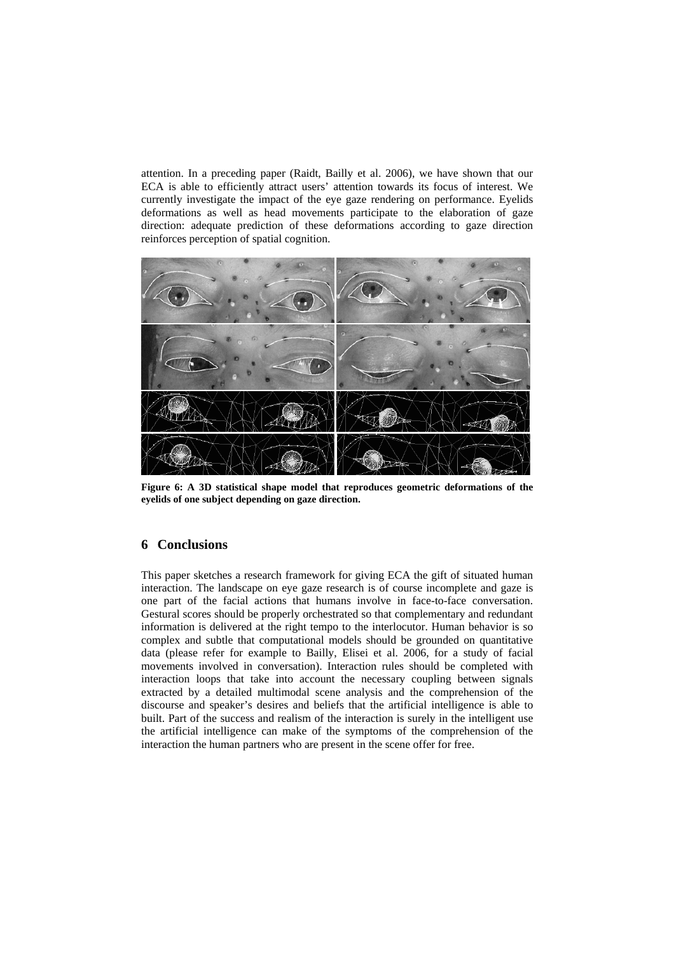attention. In a preceding paper (Raidt, Bailly et al. 2006), we have shown that our ECA is able to efficiently attract users' attention towards its focus of interest. We currently investigate the impact of the eye gaze rendering on performance. Eyelids deformations as well as head movements participate to the elaboration of gaze direction: adequate prediction of these deformations according to gaze direction reinforces perception of spatial cognition.



**Figure 6: A 3D statistical shape model that reproduces geometric deformations of the eyelids of one subject depending on gaze direction.** 

# **6 Conclusions**

This paper sketches a research framework for giving ECA the gift of situated human interaction. The landscape on eye gaze research is of course incomplete and gaze is one part of the facial actions that humans involve in face-to-face conversation. Gestural scores should be properly orchestrated so that complementary and redundant information is delivered at the right tempo to the interlocutor. Human behavior is so complex and subtle that computational models should be grounded on quantitative data (please refer for example to Bailly, Elisei et al. 2006, for a study of facial movements involved in conversation). Interaction rules should be completed with interaction loops that take into account the necessary coupling between signals extracted by a detailed multimodal scene analysis and the comprehension of the discourse and speaker's desires and beliefs that the artificial intelligence is able to built. Part of the success and realism of the interaction is surely in the intelligent use the artificial intelligence can make of the symptoms of the comprehension of the interaction the human partners who are present in the scene offer for free.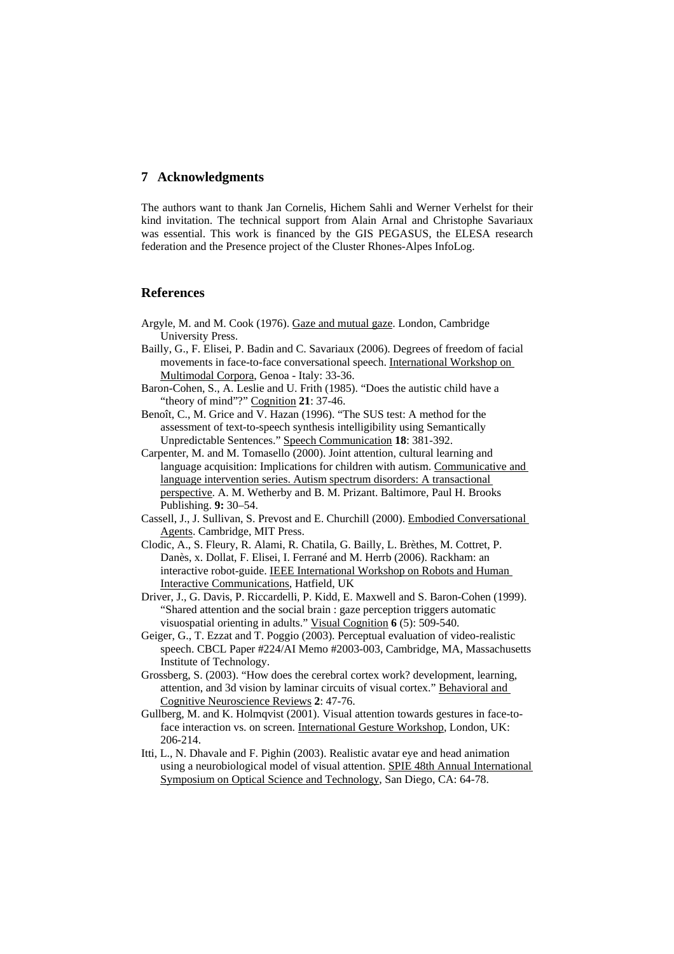#### **7 Acknowledgments**

The authors want to thank Jan Cornelis, Hichem Sahli and Werner Verhelst for their kind invitation. The technical support from Alain Arnal and Christophe Savariaux was essential. This work is financed by the GIS PEGASUS, the ELESA research federation and the Presence project of the Cluster Rhones-Alpes InfoLog.

## **References**

- Argyle, M. and M. Cook (1976). Gaze and mutual gaze. London, Cambridge University Press.
- Bailly, G., F. Elisei, P. Badin and C. Savariaux (2006). Degrees of freedom of facial movements in face-to-face conversational speech. International Workshop on Multimodal Corpora, Genoa - Italy: 33-36.
- Baron-Cohen, S., A. Leslie and U. Frith (1985). "Does the autistic child have a "theory of mind"?" Cognition 21: 37-46.
- Benoît, C., M. Grice and V. Hazan (1996). "The SUS test: A method for the assessment of text-to-speech synthesis intelligibility using Semantically Unpredictable Sentences." Speech Communication **18**: 381-392.
- Carpenter, M. and M. Tomasello (2000). Joint attention, cultural learning and language acquisition: Implications for children with autism. Communicative and language intervention series. Autism spectrum disorders: A transactional perspective. A. M. Wetherby and B. M. Prizant. Baltimore, Paul H. Brooks Publishing. **9:** 30–54.
- Cassell, J., J. Sullivan, S. Prevost and E. Churchill (2000). Embodied Conversational Agents. Cambridge, MIT Press.
- Clodic, A., S. Fleury, R. Alami, R. Chatila, G. Bailly, L. Brèthes, M. Cottret, P. Danès, x. Dollat, F. Elisei, I. Ferrané and M. Herrb (2006). Rackham: an interactive robot-guide. IEEE International Workshop on Robots and Human Interactive Communications, Hatfield, UK
- Driver, J., G. Davis, P. Riccardelli, P. Kidd, E. Maxwell and S. Baron-Cohen (1999). "Shared attention and the social brain : gaze perception triggers automatic visuospatial orienting in adults." Visual Cognition **6** (5): 509-540.
- Geiger, G., T. Ezzat and T. Poggio (2003). Perceptual evaluation of video-realistic speech. CBCL Paper #224/AI Memo #2003-003, Cambridge, MA, Massachusetts Institute of Technology.
- Grossberg, S. (2003). "How does the cerebral cortex work? development, learning, attention, and 3d vision by laminar circuits of visual cortex." Behavioral and Cognitive Neuroscience Reviews **2**: 47-76.
- Gullberg, M. and K. Holmqvist (2001). Visual attention towards gestures in face-toface interaction vs. on screen. International Gesture Workshop, London, UK: 206-214.
- Itti, L., N. Dhavale and F. Pighin (2003). Realistic avatar eye and head animation using a neurobiological model of visual attention. SPIE 48th Annual International Symposium on Optical Science and Technology, San Diego, CA: 64-78.